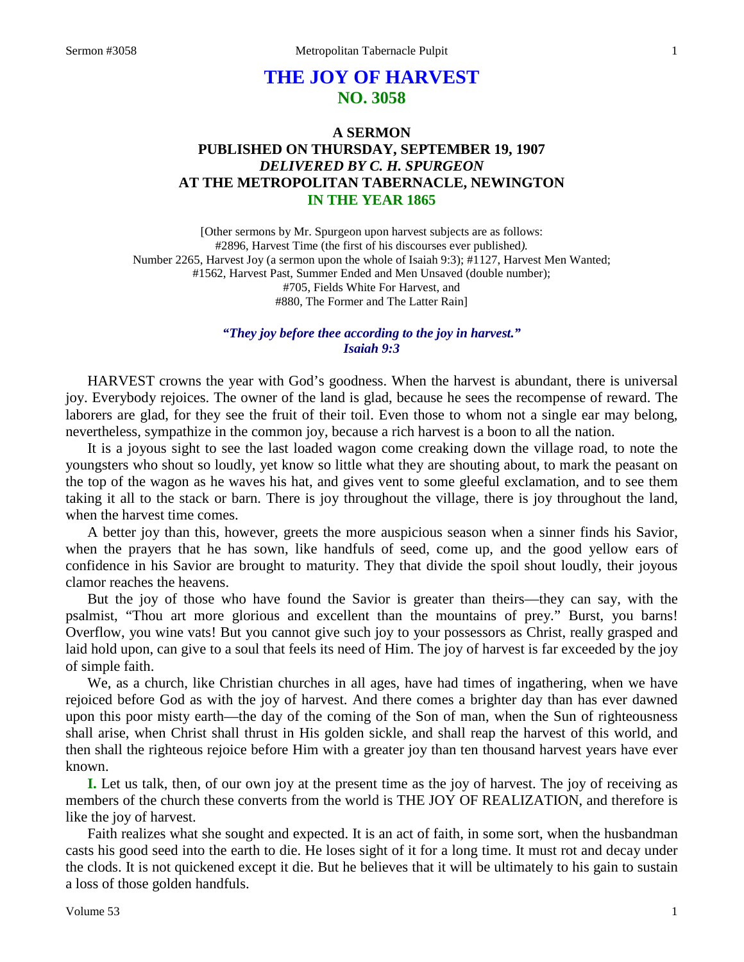# **THE JOY OF HARVEST NO. 3058**

# **A SERMON PUBLISHED ON THURSDAY, SEPTEMBER 19, 1907** *DELIVERED BY C. H. SPURGEON* **AT THE METROPOLITAN TABERNACLE, NEWINGTON IN THE YEAR 1865**

[Other sermons by Mr. Spurgeon upon harvest subjects are as follows: #2896, Harvest Time (the first of his discourses ever published*).*  Number 2265, Harvest Joy (a sermon upon the whole of Isaiah 9:3); #1127, Harvest Men Wanted; #1562, Harvest Past, Summer Ended and Men Unsaved (double number); #705, Fields White For Harvest, and #880, The Former and The Latter Rain]

> *"They joy before thee according to the joy in harvest." Isaiah 9:3*

HARVEST crowns the year with God's goodness. When the harvest is abundant, there is universal joy. Everybody rejoices. The owner of the land is glad, because he sees the recompense of reward. The laborers are glad, for they see the fruit of their toil. Even those to whom not a single ear may belong, nevertheless, sympathize in the common joy, because a rich harvest is a boon to all the nation.

It is a joyous sight to see the last loaded wagon come creaking down the village road, to note the youngsters who shout so loudly, yet know so little what they are shouting about, to mark the peasant on the top of the wagon as he waves his hat, and gives vent to some gleeful exclamation, and to see them taking it all to the stack or barn. There is joy throughout the village, there is joy throughout the land, when the harvest time comes.

A better joy than this, however, greets the more auspicious season when a sinner finds his Savior, when the prayers that he has sown, like handfuls of seed, come up, and the good yellow ears of confidence in his Savior are brought to maturity. They that divide the spoil shout loudly, their joyous clamor reaches the heavens.

But the joy of those who have found the Savior is greater than theirs—they can say, with the psalmist, "Thou art more glorious and excellent than the mountains of prey." Burst, you barns! Overflow, you wine vats! But you cannot give such joy to your possessors as Christ, really grasped and laid hold upon, can give to a soul that feels its need of Him. The joy of harvest is far exceeded by the joy of simple faith.

We, as a church, like Christian churches in all ages, have had times of ingathering, when we have rejoiced before God as with the joy of harvest. And there comes a brighter day than has ever dawned upon this poor misty earth—the day of the coming of the Son of man, when the Sun of righteousness shall arise, when Christ shall thrust in His golden sickle, and shall reap the harvest of this world, and then shall the righteous rejoice before Him with a greater joy than ten thousand harvest years have ever known.

**I.** Let us talk, then, of our own joy at the present time as the joy of harvest. The joy of receiving as members of the church these converts from the world is THE JOY OF REALIZATION, and therefore is like the joy of harvest.

Faith realizes what she sought and expected. It is an act of faith, in some sort, when the husbandman casts his good seed into the earth to die. He loses sight of it for a long time. It must rot and decay under the clods. It is not quickened except it die. But he believes that it will be ultimately to his gain to sustain a loss of those golden handfuls.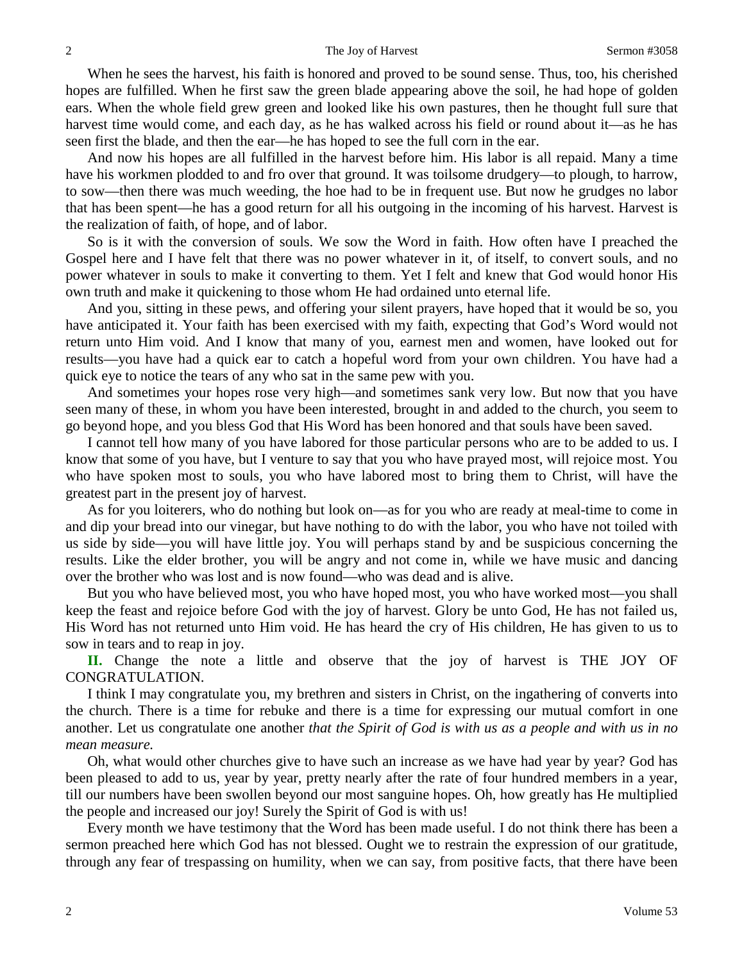When he sees the harvest, his faith is honored and proved to be sound sense. Thus, too, his cherished hopes are fulfilled. When he first saw the green blade appearing above the soil, he had hope of golden ears. When the whole field grew green and looked like his own pastures, then he thought full sure that harvest time would come, and each day, as he has walked across his field or round about it—as he has seen first the blade, and then the ear—he has hoped to see the full corn in the ear.

And now his hopes are all fulfilled in the harvest before him. His labor is all repaid. Many a time have his workmen plodded to and fro over that ground. It was toilsome drudgery—to plough, to harrow, to sow—then there was much weeding, the hoe had to be in frequent use. But now he grudges no labor that has been spent—he has a good return for all his outgoing in the incoming of his harvest. Harvest is the realization of faith, of hope, and of labor.

So is it with the conversion of souls. We sow the Word in faith. How often have I preached the Gospel here and I have felt that there was no power whatever in it, of itself, to convert souls, and no power whatever in souls to make it converting to them. Yet I felt and knew that God would honor His own truth and make it quickening to those whom He had ordained unto eternal life.

And you, sitting in these pews, and offering your silent prayers, have hoped that it would be so, you have anticipated it. Your faith has been exercised with my faith, expecting that God's Word would not return unto Him void. And I know that many of you, earnest men and women, have looked out for results—you have had a quick ear to catch a hopeful word from your own children. You have had a quick eye to notice the tears of any who sat in the same pew with you.

And sometimes your hopes rose very high—and sometimes sank very low. But now that you have seen many of these, in whom you have been interested, brought in and added to the church, you seem to go beyond hope, and you bless God that His Word has been honored and that souls have been saved.

I cannot tell how many of you have labored for those particular persons who are to be added to us. I know that some of you have, but I venture to say that you who have prayed most, will rejoice most. You who have spoken most to souls, you who have labored most to bring them to Christ, will have the greatest part in the present joy of harvest.

As for you loiterers, who do nothing but look on—as for you who are ready at meal-time to come in and dip your bread into our vinegar, but have nothing to do with the labor, you who have not toiled with us side by side—you will have little joy. You will perhaps stand by and be suspicious concerning the results. Like the elder brother, you will be angry and not come in, while we have music and dancing over the brother who was lost and is now found—who was dead and is alive.

But you who have believed most, you who have hoped most, you who have worked most—you shall keep the feast and rejoice before God with the joy of harvest. Glory be unto God, He has not failed us, His Word has not returned unto Him void. He has heard the cry of His children, He has given to us to sow in tears and to reap in joy.

**II.** Change the note a little and observe that the joy of harvest is THE JOY OF CONGRATULATION.

I think I may congratulate you, my brethren and sisters in Christ, on the ingathering of converts into the church. There is a time for rebuke and there is a time for expressing our mutual comfort in one another. Let us congratulate one another *that the Spirit of God is with us as a people and with us in no mean measure.* 

Oh, what would other churches give to have such an increase as we have had year by year? God has been pleased to add to us, year by year, pretty nearly after the rate of four hundred members in a year, till our numbers have been swollen beyond our most sanguine hopes. Oh, how greatly has He multiplied the people and increased our joy! Surely the Spirit of God is with us!

Every month we have testimony that the Word has been made useful. I do not think there has been a sermon preached here which God has not blessed. Ought we to restrain the expression of our gratitude, through any fear of trespassing on humility, when we can say, from positive facts, that there have been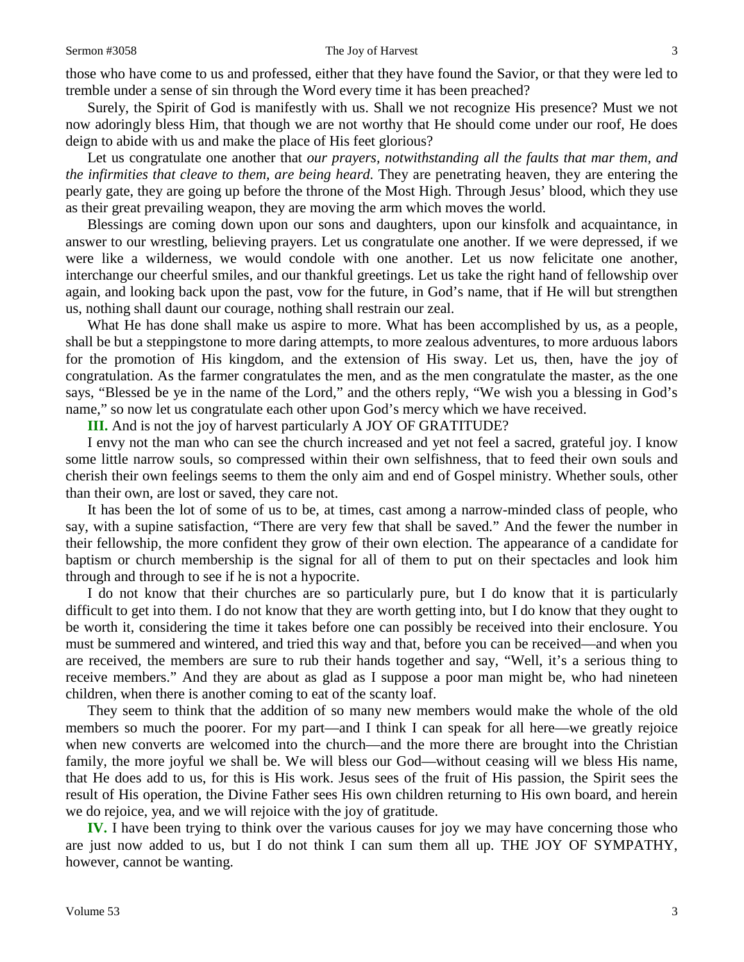those who have come to us and professed, either that they have found the Savior, or that they were led to tremble under a sense of sin through the Word every time it has been preached?

Surely, the Spirit of God is manifestly with us. Shall we not recognize His presence? Must we not now adoringly bless Him, that though we are not worthy that He should come under our roof, He does deign to abide with us and make the place of His feet glorious?

Let us congratulate one another that *our prayers, notwithstanding all the faults that mar them, and the infirmities that cleave to them, are being heard.* They are penetrating heaven, they are entering the pearly gate, they are going up before the throne of the Most High. Through Jesus' blood, which they use as their great prevailing weapon, they are moving the arm which moves the world.

Blessings are coming down upon our sons and daughters, upon our kinsfolk and acquaintance, in answer to our wrestling, believing prayers. Let us congratulate one another. If we were depressed, if we were like a wilderness, we would condole with one another. Let us now felicitate one another, interchange our cheerful smiles, and our thankful greetings. Let us take the right hand of fellowship over again, and looking back upon the past, vow for the future, in God's name, that if He will but strengthen us, nothing shall daunt our courage, nothing shall restrain our zeal.

What He has done shall make us aspire to more. What has been accomplished by us, as a people, shall be but a steppingstone to more daring attempts, to more zealous adventures, to more arduous labors for the promotion of His kingdom, and the extension of His sway. Let us, then, have the joy of congratulation. As the farmer congratulates the men, and as the men congratulate the master, as the one says, "Blessed be ye in the name of the Lord," and the others reply, "We wish you a blessing in God's name," so now let us congratulate each other upon God's mercy which we have received.

**III.** And is not the joy of harvest particularly A JOY OF GRATITUDE?

I envy not the man who can see the church increased and yet not feel a sacred, grateful joy. I know some little narrow souls, so compressed within their own selfishness, that to feed their own souls and cherish their own feelings seems to them the only aim and end of Gospel ministry. Whether souls, other than their own, are lost or saved, they care not.

It has been the lot of some of us to be, at times, cast among a narrow-minded class of people, who say, with a supine satisfaction, "There are very few that shall be saved." And the fewer the number in their fellowship, the more confident they grow of their own election. The appearance of a candidate for baptism or church membership is the signal for all of them to put on their spectacles and look him through and through to see if he is not a hypocrite.

I do not know that their churches are so particularly pure, but I do know that it is particularly difficult to get into them. I do not know that they are worth getting into, but I do know that they ought to be worth it, considering the time it takes before one can possibly be received into their enclosure. You must be summered and wintered, and tried this way and that, before you can be received—and when you are received, the members are sure to rub their hands together and say, "Well, it's a serious thing to receive members." And they are about as glad as I suppose a poor man might be, who had nineteen children, when there is another coming to eat of the scanty loaf.

They seem to think that the addition of so many new members would make the whole of the old members so much the poorer. For my part—and I think I can speak for all here—we greatly rejoice when new converts are welcomed into the church—and the more there are brought into the Christian family, the more joyful we shall be. We will bless our God—without ceasing will we bless His name, that He does add to us, for this is His work. Jesus sees of the fruit of His passion, the Spirit sees the result of His operation, the Divine Father sees His own children returning to His own board, and herein we do rejoice, yea, and we will rejoice with the joy of gratitude.

**IV.** I have been trying to think over the various causes for joy we may have concerning those who are just now added to us, but I do not think I can sum them all up. THE JOY OF SYMPATHY, however, cannot be wanting.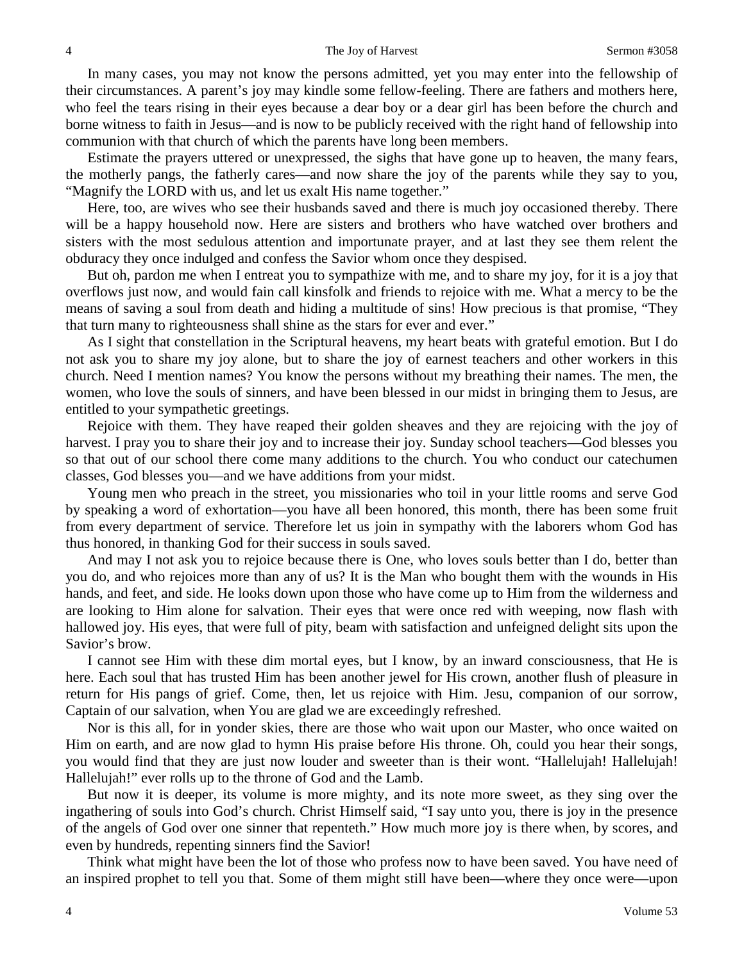#### 4 The Joy of Harvest Sermon #3058

In many cases, you may not know the persons admitted, yet you may enter into the fellowship of their circumstances. A parent's joy may kindle some fellow-feeling. There are fathers and mothers here, who feel the tears rising in their eyes because a dear boy or a dear girl has been before the church and borne witness to faith in Jesus—and is now to be publicly received with the right hand of fellowship into communion with that church of which the parents have long been members.

Estimate the prayers uttered or unexpressed, the sighs that have gone up to heaven, the many fears, the motherly pangs, the fatherly cares—and now share the joy of the parents while they say to you, "Magnify the LORD with us, and let us exalt His name together."

Here, too, are wives who see their husbands saved and there is much joy occasioned thereby. There will be a happy household now. Here are sisters and brothers who have watched over brothers and sisters with the most sedulous attention and importunate prayer, and at last they see them relent the obduracy they once indulged and confess the Savior whom once they despised.

But oh, pardon me when I entreat you to sympathize with me, and to share my joy, for it is a joy that overflows just now, and would fain call kinsfolk and friends to rejoice with me. What a mercy to be the means of saving a soul from death and hiding a multitude of sins! How precious is that promise, "They that turn many to righteousness shall shine as the stars for ever and ever."

As I sight that constellation in the Scriptural heavens, my heart beats with grateful emotion. But I do not ask you to share my joy alone, but to share the joy of earnest teachers and other workers in this church. Need I mention names? You know the persons without my breathing their names. The men, the women, who love the souls of sinners, and have been blessed in our midst in bringing them to Jesus, are entitled to your sympathetic greetings.

Rejoice with them. They have reaped their golden sheaves and they are rejoicing with the joy of harvest. I pray you to share their joy and to increase their joy. Sunday school teachers—God blesses you so that out of our school there come many additions to the church. You who conduct our catechumen classes, God blesses you—and we have additions from your midst.

Young men who preach in the street, you missionaries who toil in your little rooms and serve God by speaking a word of exhortation—you have all been honored, this month, there has been some fruit from every department of service. Therefore let us join in sympathy with the laborers whom God has thus honored, in thanking God for their success in souls saved.

And may I not ask you to rejoice because there is One, who loves souls better than I do, better than you do, and who rejoices more than any of us? It is the Man who bought them with the wounds in His hands, and feet, and side. He looks down upon those who have come up to Him from the wilderness and are looking to Him alone for salvation. Their eyes that were once red with weeping, now flash with hallowed joy. His eyes, that were full of pity, beam with satisfaction and unfeigned delight sits upon the Savior's brow.

I cannot see Him with these dim mortal eyes, but I know, by an inward consciousness, that He is here. Each soul that has trusted Him has been another jewel for His crown, another flush of pleasure in return for His pangs of grief. Come, then, let us rejoice with Him. Jesu, companion of our sorrow, Captain of our salvation, when You are glad we are exceedingly refreshed.

Nor is this all, for in yonder skies, there are those who wait upon our Master, who once waited on Him on earth, and are now glad to hymn His praise before His throne. Oh, could you hear their songs, you would find that they are just now louder and sweeter than is their wont. "Hallelujah! Hallelujah! Hallelujah!" ever rolls up to the throne of God and the Lamb.

But now it is deeper, its volume is more mighty, and its note more sweet, as they sing over the ingathering of souls into God's church. Christ Himself said, "I say unto you, there is joy in the presence of the angels of God over one sinner that repenteth." How much more joy is there when, by scores, and even by hundreds, repenting sinners find the Savior!

Think what might have been the lot of those who profess now to have been saved. You have need of an inspired prophet to tell you that. Some of them might still have been—where they once were—upon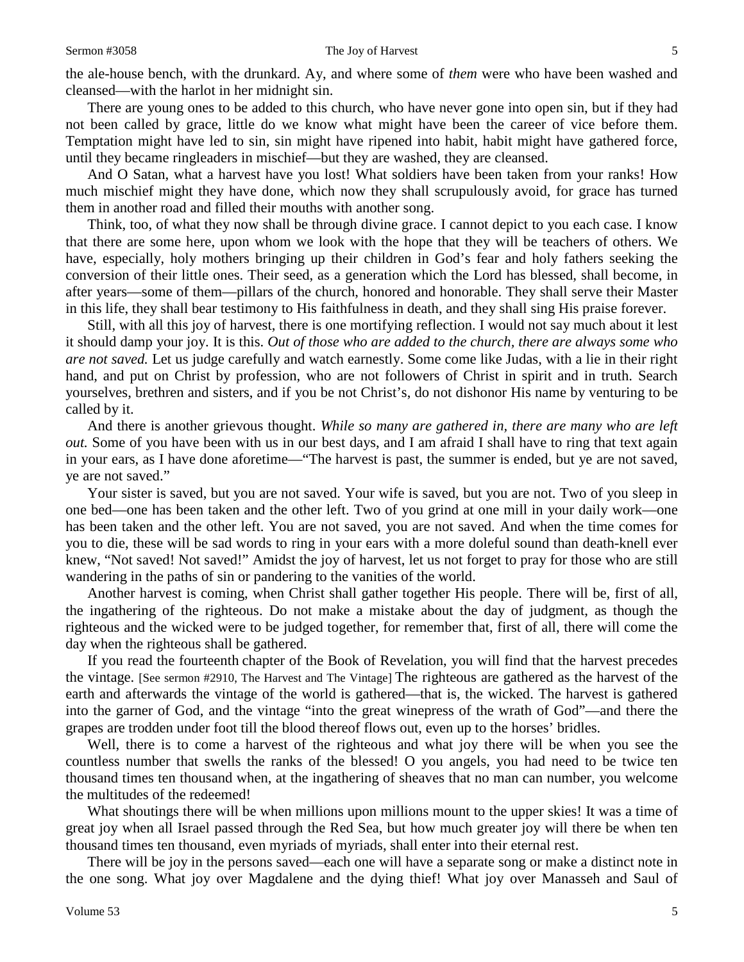There are young ones to be added to this church, who have never gone into open sin, but if they had not been called by grace, little do we know what might have been the career of vice before them. Temptation might have led to sin, sin might have ripened into habit, habit might have gathered force, until they became ringleaders in mischief—but they are washed, they are cleansed.

And O Satan, what a harvest have you lost! What soldiers have been taken from your ranks! How much mischief might they have done, which now they shall scrupulously avoid, for grace has turned them in another road and filled their mouths with another song.

Think, too, of what they now shall be through divine grace. I cannot depict to you each case. I know that there are some here, upon whom we look with the hope that they will be teachers of others. We have, especially, holy mothers bringing up their children in God's fear and holy fathers seeking the conversion of their little ones. Their seed, as a generation which the Lord has blessed, shall become, in after years—some of them—pillars of the church, honored and honorable. They shall serve their Master in this life, they shall bear testimony to His faithfulness in death, and they shall sing His praise forever.

Still, with all this joy of harvest, there is one mortifying reflection. I would not say much about it lest it should damp your joy. It is this. *Out of those who are added to the church, there are always some who are not saved.* Let us judge carefully and watch earnestly. Some come like Judas, with a lie in their right hand, and put on Christ by profession, who are not followers of Christ in spirit and in truth. Search yourselves, brethren and sisters, and if you be not Christ's, do not dishonor His name by venturing to be called by it.

And there is another grievous thought. *While so many are gathered in, there are many who are left out.* Some of you have been with us in our best days, and I am afraid I shall have to ring that text again in your ears, as I have done aforetime—"The harvest is past, the summer is ended, but ye are not saved, ye are not saved."

Your sister is saved, but you are not saved. Your wife is saved, but you are not. Two of you sleep in one bed—one has been taken and the other left. Two of you grind at one mill in your daily work—one has been taken and the other left. You are not saved, you are not saved. And when the time comes for you to die, these will be sad words to ring in your ears with a more doleful sound than death-knell ever knew, "Not saved! Not saved!" Amidst the joy of harvest, let us not forget to pray for those who are still wandering in the paths of sin or pandering to the vanities of the world.

Another harvest is coming, when Christ shall gather together His people. There will be, first of all, the ingathering of the righteous. Do not make a mistake about the day of judgment, as though the righteous and the wicked were to be judged together, for remember that, first of all, there will come the day when the righteous shall be gathered.

If you read the fourteenth chapter of the Book of Revelation, you will find that the harvest precedes the vintage. [See sermon #2910, The Harvest and The Vintage] The righteous are gathered as the harvest of the earth and afterwards the vintage of the world is gathered—that is, the wicked. The harvest is gathered into the garner of God, and the vintage "into the great winepress of the wrath of God"—and there the grapes are trodden under foot till the blood thereof flows out, even up to the horses' bridles.

Well, there is to come a harvest of the righteous and what joy there will be when you see the countless number that swells the ranks of the blessed! O you angels, you had need to be twice ten thousand times ten thousand when, at the ingathering of sheaves that no man can number, you welcome the multitudes of the redeemed!

What shoutings there will be when millions upon millions mount to the upper skies! It was a time of great joy when all Israel passed through the Red Sea, but how much greater joy will there be when ten thousand times ten thousand, even myriads of myriads, shall enter into their eternal rest.

There will be joy in the persons saved—each one will have a separate song or make a distinct note in the one song. What joy over Magdalene and the dying thief! What joy over Manasseh and Saul of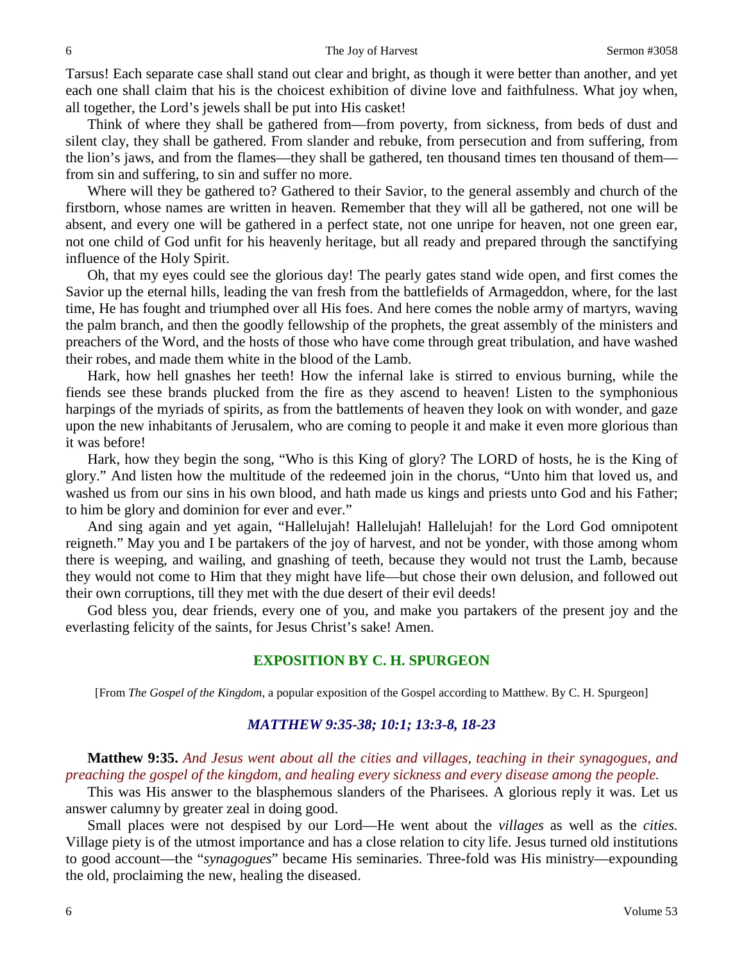Tarsus! Each separate case shall stand out clear and bright, as though it were better than another, and yet each one shall claim that his is the choicest exhibition of divine love and faithfulness. What joy when, all together, the Lord's jewels shall be put into His casket!

Think of where they shall be gathered from—from poverty, from sickness, from beds of dust and silent clay, they shall be gathered. From slander and rebuke, from persecution and from suffering, from the lion's jaws, and from the flames—they shall be gathered, ten thousand times ten thousand of them from sin and suffering, to sin and suffer no more.

Where will they be gathered to? Gathered to their Savior, to the general assembly and church of the firstborn, whose names are written in heaven. Remember that they will all be gathered, not one will be absent, and every one will be gathered in a perfect state, not one unripe for heaven, not one green ear, not one child of God unfit for his heavenly heritage, but all ready and prepared through the sanctifying influence of the Holy Spirit.

Oh, that my eyes could see the glorious day! The pearly gates stand wide open, and first comes the Savior up the eternal hills, leading the van fresh from the battlefields of Armageddon, where, for the last time, He has fought and triumphed over all His foes. And here comes the noble army of martyrs, waving the palm branch, and then the goodly fellowship of the prophets, the great assembly of the ministers and preachers of the Word, and the hosts of those who have come through great tribulation, and have washed their robes, and made them white in the blood of the Lamb.

Hark, how hell gnashes her teeth! How the infernal lake is stirred to envious burning, while the fiends see these brands plucked from the fire as they ascend to heaven! Listen to the symphonious harpings of the myriads of spirits, as from the battlements of heaven they look on with wonder, and gaze upon the new inhabitants of Jerusalem, who are coming to people it and make it even more glorious than it was before!

Hark, how they begin the song, "Who is this King of glory? The LORD of hosts, he is the King of glory." And listen how the multitude of the redeemed join in the chorus, "Unto him that loved us, and washed us from our sins in his own blood, and hath made us kings and priests unto God and his Father; to him be glory and dominion for ever and ever."

And sing again and yet again, "Hallelujah! Hallelujah! Hallelujah! for the Lord God omnipotent reigneth." May you and I be partakers of the joy of harvest, and not be yonder, with those among whom there is weeping, and wailing, and gnashing of teeth, because they would not trust the Lamb, because they would not come to Him that they might have life—but chose their own delusion, and followed out their own corruptions, till they met with the due desert of their evil deeds!

God bless you, dear friends, every one of you, and make you partakers of the present joy and the everlasting felicity of the saints, for Jesus Christ's sake! Amen.

## **EXPOSITION BY C. H. SPURGEON**

[From *The Gospel of the Kingdom*, a popular exposition of the Gospel according to Matthew. By C. H. Spurgeon]

#### *MATTHEW 9:35-38; 10:1; 13:3-8, 18-23*

**Matthew 9:35.** *And Jesus went about all the cities and villages, teaching in their synagogues, and preaching the gospel of the kingdom, and healing every sickness and every disease among the people.*

This was His answer to the blasphemous slanders of the Pharisees. A glorious reply it was. Let us answer calumny by greater zeal in doing good.

Small places were not despised by our Lord—He went about the *villages* as well as the *cities.*  Village piety is of the utmost importance and has a close relation to city life. Jesus turned old institutions to good account—the "*synagogues*" became His seminaries. Three-fold was His ministry—expounding the old, proclaiming the new, healing the diseased.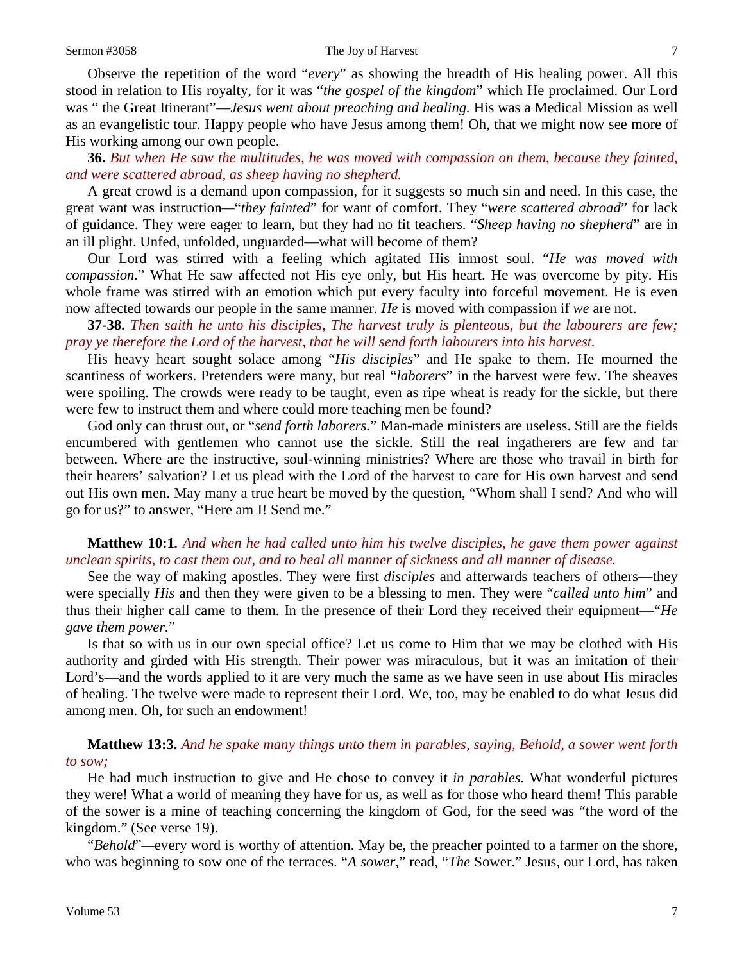Observe the repetition of the word "*every*" as showing the breadth of His healing power. All this stood in relation to His royalty, for it was "*the gospel of the kingdom*" which He proclaimed. Our Lord was " the Great Itinerant"—*Jesus went about preaching and healing.* His was a Medical Mission as well as an evangelistic tour. Happy people who have Jesus among them! Oh, that we might now see more of His working among our own people.

**36.** *But when He saw the multitudes, he was moved with compassion on them, because they fainted, and were scattered abroad, as sheep having no shepherd.*

A great crowd is a demand upon compassion, for it suggests so much sin and need. In this case, the great want was instruction*—*"*they fainted*" for want of comfort. They "*were scattered abroad*" for lack of guidance. They were eager to learn, but they had no fit teachers. "*Sheep having no shepherd*" are in an ill plight. Unfed, unfolded, unguarded—what will become of them?

Our Lord was stirred with a feeling which agitated His inmost soul. "*He was moved with compassion.*" What He saw affected not His eye only, but His heart. He was overcome by pity. His whole frame was stirred with an emotion which put every faculty into forceful movement. He is even now affected towards our people in the same manner. *He* is moved with compassion if *we* are not.

**37-38.** *Then saith he unto his disciples, The harvest truly is plenteous, but the labourers are few; pray ye therefore the Lord of the harvest, that he will send forth labourers into his harvest.*

His heavy heart sought solace among "*His disciples*" and He spake to them. He mourned the scantiness of workers. Pretenders were many, but real "*laborers*" in the harvest were few. The sheaves were spoiling. The crowds were ready to be taught, even as ripe wheat is ready for the sickle, but there were few to instruct them and where could more teaching men be found?

God only can thrust out, or "*send forth laborers.*" Man-made ministers are useless. Still are the fields encumbered with gentlemen who cannot use the sickle. Still the real ingatherers are few and far between. Where are the instructive, soul-winning ministries? Where are those who travail in birth for their hearers' salvation? Let us plead with the Lord of the harvest to care for His own harvest and send out His own men. May many a true heart be moved by the question, "Whom shall I send? And who will go for us?" to answer, "Here am I! Send me."

### **Matthew 10:1***. And when he had called unto him his twelve disciples, he gave them power against unclean spirits, to cast them out, and to heal all manner of sickness and all manner of disease.*

See the way of making apostles. They were first *disciples* and afterwards teachers of others—they were specially *His* and then they were given to be a blessing to men. They were "*called unto him*" and thus their higher call came to them. In the presence of their Lord they received their equipment—"*He gave them power.*"

Is that so with us in our own special office? Let us come to Him that we may be clothed with His authority and girded with His strength. Their power was miraculous, but it was an imitation of their Lord's—and the words applied to it are very much the same as we have seen in use about His miracles of healing. The twelve were made to represent their Lord. We, too, may be enabled to do what Jesus did among men. Oh, for such an endowment!

**Matthew 13:3.** *And he spake many things unto them in parables, saying, Behold, a sower went forth to sow;*

He had much instruction to give and He chose to convey it *in parables.* What wonderful pictures they were! What a world of meaning they have for us, as well as for those who heard them! This parable of the sower is a mine of teaching concerning the kingdom of God, for the seed was "the word of the kingdom." (See verse 19).

"*Behold*"*—*every word is worthy of attention. May be, the preacher pointed to a farmer on the shore, who was beginning to sow one of the terraces. "*A sower*," read, "*The* Sower." Jesus, our Lord, has taken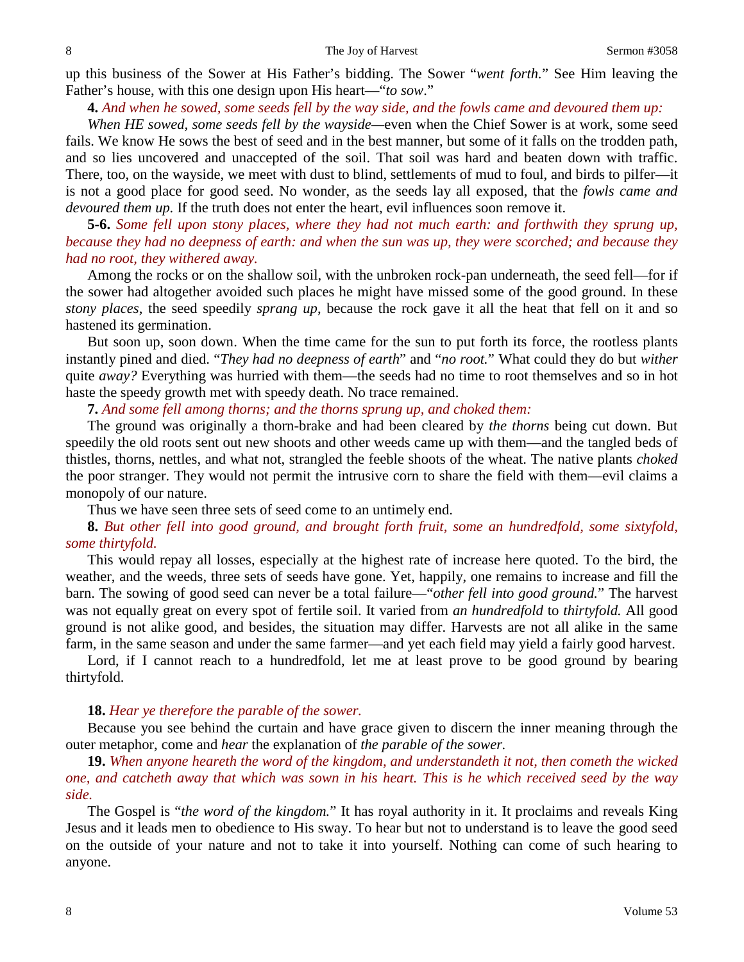up this business of the Sower at His Father's bidding. The Sower "*went forth.*" See Him leaving the Father's house, with this one design upon His heart—"*to sow*."

**4.** *And when he sowed, some seeds fell by the way side, and the fowls came and devoured them up:*

*When HE sowed, some seeds fell by the wayside—*even when the Chief Sower is at work, some seed fails. We know He sows the best of seed and in the best manner, but some of it falls on the trodden path, and so lies uncovered and unaccepted of the soil. That soil was hard and beaten down with traffic. There, too, on the wayside, we meet with dust to blind, settlements of mud to foul, and birds to pilfer—it is not a good place for good seed. No wonder, as the seeds lay all exposed, that the *fowls came and devoured them up.* If the truth does not enter the heart, evil influences soon remove it.

**5-6.** *Some fell upon stony places, where they had not much earth: and forthwith they sprung up, because they had no deepness of earth: and when the sun was up, they were scorched; and because they had no root, they withered away.*

Among the rocks or on the shallow soil, with the unbroken rock-pan underneath, the seed fell—for if the sower had altogether avoided such places he might have missed some of the good ground. In these *stony places*, the seed speedily *sprang up*, because the rock gave it all the heat that fell on it and so hastened its germination.

But soon up, soon down. When the time came for the sun to put forth its force, the rootless plants instantly pined and died. "*They had no deepness of earth*" and "*no root.*" What could they do but *wither*  quite *away?* Everything was hurried with them—the seeds had no time to root themselves and so in hot haste the speedy growth met with speedy death. No trace remained.

**7.** *And some fell among thorns; and the thorns sprung up, and choked them:*

The ground was originally a thorn-brake and had been cleared by *the thorns* being cut down. But speedily the old roots sent out new shoots and other weeds came up with them—and the tangled beds of thistles, thorns, nettles, and what not, strangled the feeble shoots of the wheat. The native plants *choked*  the poor stranger. They would not permit the intrusive corn to share the field with them—evil claims a monopoly of our nature.

Thus we have seen three sets of seed come to an untimely end.

**8.** *But other fell into good ground, and brought forth fruit, some an hundredfold, some sixtyfold, some thirtyfold.*

This would repay all losses, especially at the highest rate of increase here quoted. To the bird, the weather, and the weeds, three sets of seeds have gone. Yet, happily, one remains to increase and fill the barn. The sowing of good seed can never be a total failure—"*other fell into good ground.*" The harvest was not equally great on every spot of fertile soil. It varied from *an hundredfold* to *thirtyfold.* All good ground is not alike good, and besides, the situation may differ. Harvests are not all alike in the same farm, in the same season and under the same farmer—and yet each field may yield a fairly good harvest.

Lord, if I cannot reach to a hundredfold, let me at least prove to be good ground by bearing thirtyfold.

#### **18.** *Hear ye therefore the parable of the sower.*

Because you see behind the curtain and have grace given to discern the inner meaning through the outer metaphor, come and *hear* the explanation of *the parable of the sower.*

**19.** *When anyone heareth the word of the kingdom, and understandeth it not, then cometh the wicked one, and catcheth away that which was sown in his heart. This is he which received seed by the way side.*

The Gospel is "*the word of the kingdom.*" It has royal authority in it. It proclaims and reveals King Jesus and it leads men to obedience to His sway. To hear but not to understand is to leave the good seed on the outside of your nature and not to take it into yourself. Nothing can come of such hearing to anyone.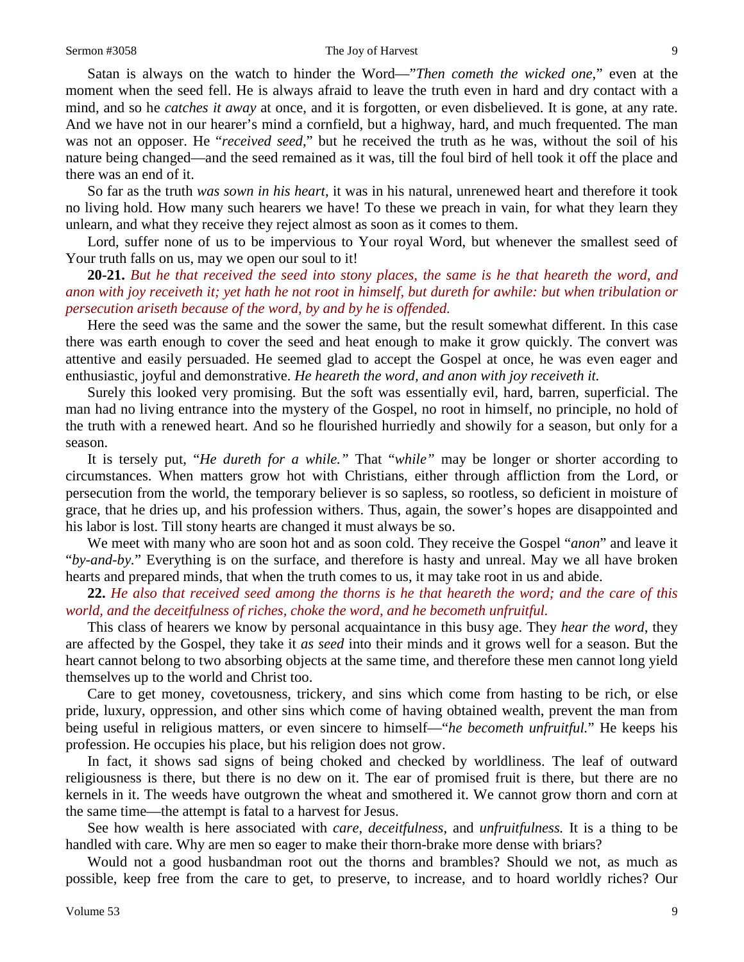Satan is always on the watch to hinder the Word—"*Then cometh the wicked one*," even at the moment when the seed fell. He is always afraid to leave the truth even in hard and dry contact with a mind, and so he *catches it away* at once, and it is forgotten, or even disbelieved. It is gone, at any rate. And we have not in our hearer's mind a cornfield, but a highway, hard, and much frequented. The man was not an opposer. He "*received seed*," but he received the truth as he was, without the soil of his nature being changed—and the seed remained as it was, till the foul bird of hell took it off the place and there was an end of it.

So far as the truth *was sown in his heart*, it was in his natural, unrenewed heart and therefore it took no living hold. How many such hearers we have! To these we preach in vain, for what they learn they unlearn, and what they receive they reject almost as soon as it comes to them.

Lord, suffer none of us to be impervious to Your royal Word, but whenever the smallest seed of Your truth falls on us, may we open our soul to it!

**20-21.** *But he that received the seed into stony places, the same is he that heareth the word, and anon with joy receiveth it; yet hath he not root in himself, but dureth for awhile: but when tribulation or persecution ariseth because of the word, by and by he is offended.*

Here the seed was the same and the sower the same, but the result somewhat different. In this case there was earth enough to cover the seed and heat enough to make it grow quickly. The convert was attentive and easily persuaded. He seemed glad to accept the Gospel at once, he was even eager and enthusiastic, joyful and demonstrative. *He heareth the word, and anon with joy receiveth it.* 

Surely this looked very promising. But the soft was essentially evil, hard, barren, superficial. The man had no living entrance into the mystery of the Gospel, no root in himself, no principle, no hold of the truth with a renewed heart. And so he flourished hurriedly and showily for a season, but only for a season.

It is tersely put, "*He dureth for a while."* That "*while"* may be longer or shorter according to circumstances. When matters grow hot with Christians, either through affliction from the Lord, or persecution from the world, the temporary believer is so sapless, so rootless, so deficient in moisture of grace, that he dries up, and his profession withers. Thus, again, the sower's hopes are disappointed and his labor is lost. Till stony hearts are changed it must always be so.

We meet with many who are soon hot and as soon cold. They receive the Gospel "*anon*" and leave it "*by-and-by.*" Everything is on the surface, and therefore is hasty and unreal. May we all have broken hearts and prepared minds, that when the truth comes to us, it may take root in us and abide.

**22.** *He also that received seed among the thorns is he that heareth the word; and the care of this world, and the deceitfulness of riches, choke the word, and he becometh unfruitful.*

This class of hearers we know by personal acquaintance in this busy age. They *hear the word*, they are affected by the Gospel, they take it *as seed* into their minds and it grows well for a season. But the heart cannot belong to two absorbing objects at the same time, and therefore these men cannot long yield themselves up to the world and Christ too.

Care to get money, covetousness, trickery, and sins which come from hasting to be rich, or else pride, luxury, oppression, and other sins which come of having obtained wealth, prevent the man from being useful in religious matters, or even sincere to himself—"*he becometh unfruitful.*" He keeps his profession. He occupies his place, but his religion does not grow.

In fact, it shows sad signs of being choked and checked by worldliness. The leaf of outward religiousness is there, but there is no dew on it. The ear of promised fruit is there, but there are no kernels in it. The weeds have outgrown the wheat and smothered it. We cannot grow thorn and corn at the same time—the attempt is fatal to a harvest for Jesus.

See how wealth is here associated with *care*, *deceitfulness*, and *unfruitfulness.* It is a thing to be handled with care. Why are men so eager to make their thorn-brake more dense with briars?

Would not a good husbandman root out the thorns and brambles? Should we not, as much as possible, keep free from the care to get, to preserve, to increase, and to hoard worldly riches? Our